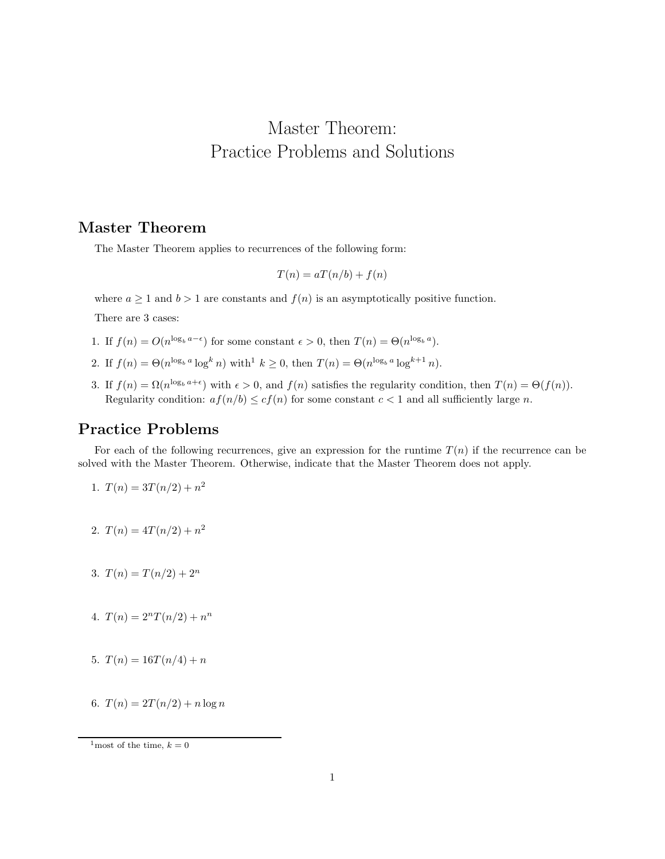## Master Theorem: Practice Problems and Solutions

## Master Theorem

The Master Theorem applies to recurrences of the following form:

$$
T(n) = aT(n/b) + f(n)
$$

where  $a \ge 1$  and  $b > 1$  are constants and  $f(n)$  is an asymptotically positive function.

There are 3 cases:

- 1. If  $f(n) = O(n^{\log_b a \epsilon})$  for some constant  $\epsilon > 0$ , then  $T(n) = \Theta(n^{\log_b a})$ .
- 2. If  $f(n) = \Theta(n^{\log_b a} \log^k n)$  with  $k \ge 0$ , then  $T(n) = \Theta(n^{\log_b a} \log^{k+1} n)$ .
- 3. If  $f(n) = \Omega(n^{\log_b a + \epsilon})$  with  $\epsilon > 0$ , and  $f(n)$  satisfies the regularity condition, then  $T(n) = \Theta(f(n))$ . Regularity condition:  $af(n/b) \leq cf(n)$  for some constant  $c < 1$  and all sufficiently large n.

## Practice Problems

For each of the following recurrences, give an expression for the runtime  $T(n)$  if the recurrence can be solved with the Master Theorem. Otherwise, indicate that the Master Theorem does not apply.

1. 
$$
T(n) = 3T(n/2) + n^2
$$

- 2.  $T(n) = 4T(n/2) + n^2$
- 3.  $T(n) = T(n/2) + 2^n$
- 4.  $T(n) = 2^n T(n/2) + n^n$
- 5.  $T(n) = 16T(n/4) + n$
- 6.  $T(n) = 2T(n/2) + n \log n$

 $^{1}\rm{most}$  of the time,  $k=0$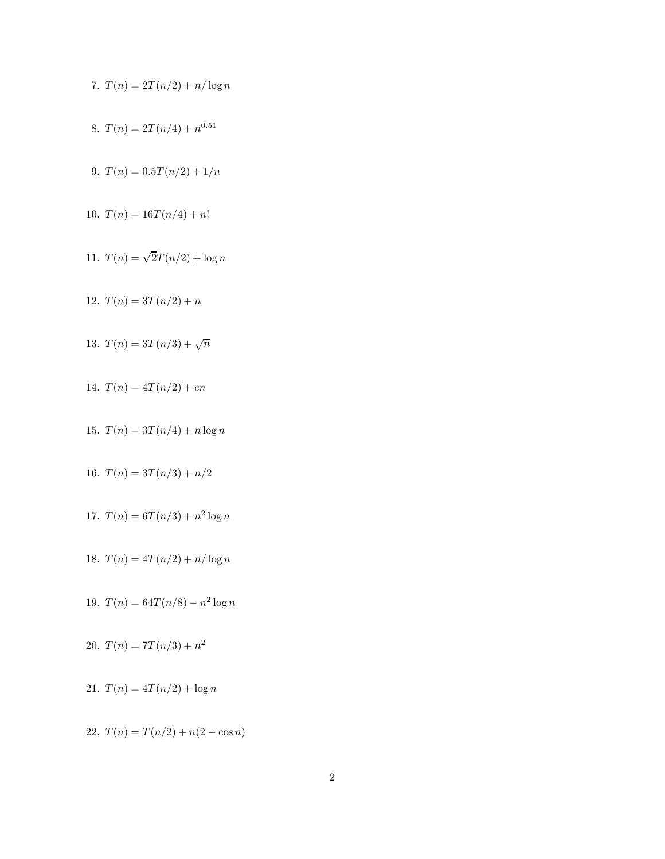7. 
$$
T(n) = 2T(n/2) + n/\log n
$$

- 8.  $T(n) = 2T(n/4) + n^{0.51}$
- 9.  $T(n) = 0.5T(n/2) + 1/n$
- 10.  $T(n) = 16T(n/4) + n!$
- 11.  $T(n) = \sqrt{2}T(n/2) + \log n$
- 12.  $T(n) = 3T(n/2) + n$
- 13.  $T(n) = 3T(n/3) + \sqrt{n}$
- 14.  $T(n) = 4T(n/2) + cn$
- 15.  $T(n) = 3T(n/4) + n \log n$
- 16.  $T(n) = 3T(n/3) + n/2$
- 17.  $T(n) = 6T(n/3) + n^2 \log n$
- 18.  $T(n) = 4T(n/2) + n/\log n$
- 19.  $T(n) = 64T(n/8) n^2 \log n$
- 20.  $T(n) = 7T(n/3) + n^2$
- 21.  $T(n) = 4T(n/2) + \log n$
- 22.  $T(n) = T(n/2) + n(2 \cos n)$